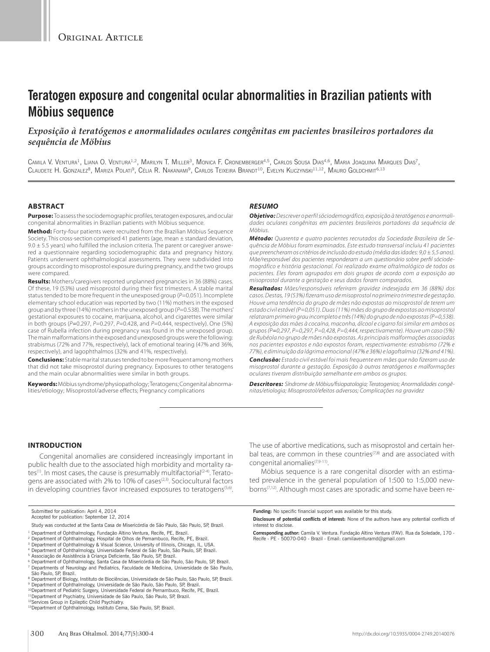# **Teratogen exposure and congenital ocular abnormalities in Brazilian patients with Möbius sequence**

## *Exposição à teratógenos e anormalidades oculares congênitas em pacientes brasileiros portadores da sequência de Möbius*

CAMILA V. VENTURA<sup>1</sup>, LIANA O. VENTURA<sup>1,2</sup>, MARILYN T. MILLER<sup>3</sup>, MONICA F. CRONEMBERGER<sup>4,5</sup>, CARLOS SOUSA DIAS<sup>4,6</sup>, MARIA JOAQUINA MARQUES DIAS<sup>7</sup>, CLAUDETE H. GONZALEZ<sup>8</sup>, MARIZA POLATI<sup>9</sup>, Célia R. Nakanami<sup>9</sup>, Carlos Teixeira Brandt<sup>10</sup>, Evelyn Kuczynski<sup>11,12</sup>, Mauro Goldchmit<sup>6,13</sup>

#### **ABSTRACT**

**Purpose:** To assess the sociodemographic profiles, teratogen exposures, and ocular congenital abnormalities in Brazilian patients with Möbius sequence.

**Method:** Forty-four patients were recruited from the Brazilian Möbius Sequence Society. This cross-section comprised 41 patients (age, mean ± standard deviation,  $9.0 \pm 5.5$  years) who fulfilled the inclusion criteria. The parent or caregiver answered a questionnaire regarding sociodemographic data and pregnancy history. Patients underwent ophthalmological assessments. They were subdivided into groups according to misoprostol exposure during pregnancy, and the two groups were compared.

**Results:** Mothers/caregivers reported unplanned pregnancies in 36 (88%) cases. Of these, 19 (53%) used misoprostol during their first trimesters. A stable marital status tended to be more frequent in the unexposed group (*P*=0.051). Incomplete elementary school education was reported by two (11%) mothers in the exposed group and by three (14%) mothers in the unexposed group (*P*=0.538). The mothers' gestational exposures to cocaine, marijuana, alcohol, and cigarettes were similar in both groups (*P=*0.297, *P*=0.297, *P*=0.428, and *P*=0.444, respectively). One (5%) case of Rubella infection during pregnancy was found in the unexposed group. The main malformations in the exposed and unexposed groups were the following: strabismus (72% and 77%, respectively), lack of emotional tearing (47% and 36%, respectively), and lagophthalmos (32% and 41%, respectively).

**Conclusions:** Stable marital statuses tended to be more frequent among mothers that did not take misoprostol during pregnancy. Exposures to other teratogens and the main ocular abnormalities were similar in both groups.

**Keywords:** Möbius syndrome/physiopathology; Teratogens; Congenital abnormalities/etiology; Misoprostol/adverse effects; Pregnancy complications

### *RESUMO*

*Objetivo: Descrever o perfil sóciodemográfico, exposição à teratógenos e anormalidades oculares congênitas em pacientes brasileiros portadores da sequência de Möbius.* 

*Método: Quarenta e quatro pacientes recrutados da Sociedade Brasileira de Sequência de Möbius foram examinados. Este estudo transversal incluiu 41 pacientes que preencheram os critérios de inclusão do estudo (média das idades: 9,0 ± 5,5 anos). Mãe/responsável dos pacientes responderam a um questionário sobre perfil sóciodemográfico e história gestacional. Foi realizado exame oftalmológico de todos os pacientes. Eles foram agrupados em dois grupos de acordo com a exposição ao misoprostol durante a gestação e seus dados foram comparados.* 

*Resultados: Mães/responsáveis referiram gravidez indesejada em 36 (88%) dos casos. Destas, 19 (53%) fizeram uso de misoprostol no primeiro trimestre de gestação. Houve uma tendência do grupo de mães não expostas ao misoprostol de terem um estado civil estável (P=0,051). Duas (11%) mães do grupo de expostas ao misoprostol relataram primeiro grau incompleto e três (14%) do grupo de não expostas (P=0,538). A exposição das mães à cocaína, maconha, álcool e cigarro foi similar em ambos os grupos (P=0,297, P=0,297, P=0,428, P=0,444, respectivamente). Houve um caso (5%) de Rubéola no grupo de mães não expostas. As principais malformações associadas nos pacientes expostos e não expostos foram, respectivamente: estrabismo (72% e 77%), e diminuição da lágrima emocional (47% e 36%) e lagoftalmia (32% and 41%).* 

*Conclusão: Estado civil estável foi mais frequente em mães que não fizeram uso de misoprostol durante a gestação. Exposição à outros teratógenos e malformações oculares tiveram distribuição semelhante em ambos os grupos.* 

*Descritores: Síndrome de Möbius/fisiopatologia; Teratogenios; Anormalidades congênitas/etiologia; Misoprostol/efeitos adversos; Complicações na gravidez*

#### **INTRODUCTION**

Congenital anomalies are considered increasingly important in public health due to the associated high morbidity and mortality rates<sup>(1)</sup>. In most cases, the cause is presumably multifactorial<sup>(2-4)</sup>. Teratogens are associated with 2% to 10% of cases<sup>(2,3)</sup>. Sociocultural factors in developing countries favor increased exposures to teratogens<sup>(5,6)</sup>. The use of abortive medications, such as misoprostol and certain herbal teas, are common in these countries $(7,8)$  and are associated with congenital anomalies<sup>(7,9-11)</sup>.

Möbius sequence is a rare congenital disorder with an estimated prevalence in the general population of 1:500 to 1:5,000 newborns<sup>(7,12)</sup>. Although most cases are sporadic and some have been re-

- <sup>2</sup> Department of Ophthalmology, Hospital de Olhos de Pernambuco, Recife, PE, Brazil.
- <sup>3</sup> Department of Ophthalmology & Visual Science, University of Illinois, Chicago, IL, USA.<br><sup>4</sup> Department of Ophthalmology, Universidade Federal de São Paulo, São Paulo, SP, Brazil.
- 
- <sup>5</sup> Associação de Assistência à Criança Deficiente, São Paulo, SP, Brazil.
- <sup>6</sup> Department of Ophthalmology, Santa Casa de Misericórdia de São Paulo, São Paulo, SP, Brazil.<br><sup>7</sup> Departments of Neurology and Pediatrics, Faculdade de Medicina, Universidade de São Paulo, São Paulo, SP, Brazil.
- 
- <sup>8</sup> Department of Biology, Instituto de Biociências, Universidade de São Paulo, São Paulo, SP, Brazil.<br><sup>9</sup> Department of Ophthalmology, Universidade de São Paulo, São Paulo, SP, Brazil.
- <sup>10</sup>Department of Pediatric Surgery, Universidade Federal de Pernambuco, Recife, PE, Brazil.
- <sup>11</sup>Department of Psychiatry, Universidade de São Paulo, São Paulo, SP, Brazil.<br><sup>12</sup>Services Group in Epileptic Child Psychiatry.

**Funding:** No specific financial support was available for this study.

**Corresponding author:** Camila V. Ventura. Fundação Altino Ventura (FAV). Rua da Soledade, 170 - Recife - PE - 50070-040 - Brazil - Email: camilaventuramd@gmail.com

Submitted for publication: April 4, 2014 Accepted for publication: September 12, 2014

Study was conducted at the Santa Casa de Misericórdia de São Paulo, São Paulo, SP, Brazil.

Department of Ophthalmology, Fundação Altino Ventura, Recife, PE, Brazil.

<sup>13</sup> Department of Ophthalmology, Instituto Cema, São Paulo, SP, Brazil.

**Disclosure of potential conflicts of interest:** None of the authors have any potential conflicts of interest to disclose.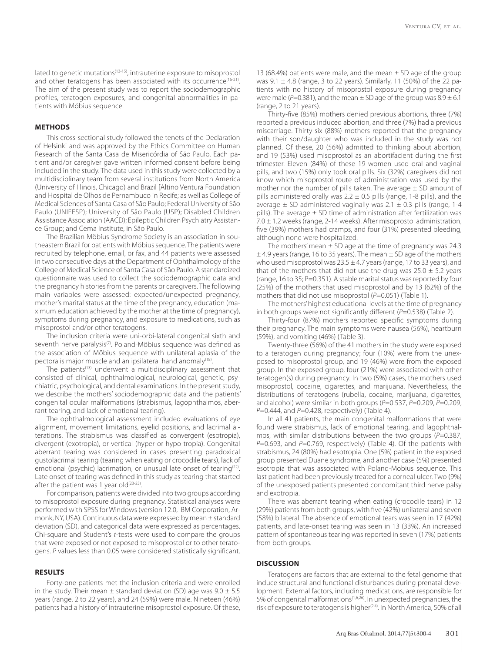lated to genetic mutations<sup>(13-15)</sup>, intrauterine exposure to misoprostol and other teratogens has been associated with its occurrence<sup>(16-21)</sup>. The aim of the present study was to report the sociodemographic profiles, teratogen exposures, and congenital abnormalities in patients with Möbius sequence.

#### **METHODS**

This cross-sectional study followed the tenets of the Declaration of Helsinki and was approved by the Ethics Committee on Human Research of the Santa Casa de Misericórdia of São Paulo. Each patient and/or caregiver gave written informed consent before being included in the study. The data used in this study were collected by a multidisciplinary team from several institutions from North America (University of Illinois, Chicago) and Brazil [Altino Ventura Foundation and Hospital de Olhos de Pernambuco in Recife; as well as College of Medical Sciences of Santa Casa of São Paulo; Federal University of São Paulo (UNIFESP); University of São Paulo (USP); Disabled Children Assistance Association (AACD); Epileptic Children Psychiatry Assistance Group; and Cema Institute, in São Paulo.

The Brazilian Möbius Syndrome Society is an association in southeastern Brazil for patients with Möbius sequence. The patients were recruited by telephone, email, or fax, and 44 patients were assessed in two consecutive days at the Department of Ophthalmology of the College of Medical Science of Santa Casa of São Paulo. A standardized questionnaire was used to collect the sociodemographic data and the pregnancy histories from the parents or caregivers. The following main variables were assessed: expected/unexpected pregnancy, mother's marital status at the time of the pregnancy, education (maximum education achieved by the mother at the time of pregnancy), symptoms during pregnancy, and exposure to medications, such as misoprostol and/or other teratogens.

The inclusion criteria were uni-orbi-lateral congenital sixth and seventh nerve paralysis<sup>(7)</sup>. Poland-Möbius sequence was defined as the association of Möbius sequence with unilateral aplasia of the pectoralis major muscle and an ipsilateral hand anomaly<sup>(18)</sup>.

The patients<sup>(13)</sup> underwent a multidisciplinary assessment that consisted of clinical, ophthalmological, neurological, genetic, psychiatric, psychological, and dental examinations. In the present study, we describe the mothers' sociodemographic data and the patients' congenital ocular malformations (strabismus, lagophthalmos, aberrant tearing, and lack of emotional tearing).

The ophthalmological assessment included evaluations of eye alignment, movement limitations, eyelid positions, and lacrimal alterations. The strabismus was classified as convergent (esotropia), divergent (exotropia), or vertical (hyper-or hypo-tropia). Congenital aberrant tearing was considered in cases presenting paradoxical gustolacrimal tearing (tearing when eating or crocodile tears), lack of emotional (psychic) lacrimation, or unusual late onset of tearing<sup>(22)</sup>. Late onset of tearing was defined in this study as tearing that started after the patient was 1 year old<sup>(23-25)</sup>.

For comparison, patients were divided into two groups according to misoprostol exposure during pregnancy. Statistical analyses were performed with SPSS for Windows (version 12.0, IBM Corporation, Armonk, NY, USA). Continuous data were expressed by mean ± standard deviation (SD), and categorical data were expressed as percentages. Chi-square and Student's *t*-tests were used to compare the groups that were exposed or not exposed to misoprostol or to other teratogens. *P* values less than 0.05 were considered statistically significant.

#### **RESULTS**

Forty-one patients met the inclusion criteria and were enrolled in the study. Their mean  $\pm$  standard deviation (SD) age was 9.0  $\pm$  5.5 years (range, 2 to 22 years), and 24 (59%) were male. Nineteen (46%) patients had a history of intrauterine misoprostol exposure. Of these,

13 (68.4%) patients were male, and the mean  $\pm$  SD age of the group was  $9.1 \pm 4.8$  (range, 3 to 22 years). Similarly, 11 (50%) of the 22 patients with no history of misoprostol exposure during pregnancy were male ( $P=0.381$ ), and the mean  $\pm$  SD age of the group was  $8.9 \pm 6.1$ (range, 2 to 21 years).

Thirty-five (85%) mothers denied previous abortions, three (7%) reported a previous induced abortion, and three (7%) had a previous miscarriage. Thirty-six (88%) mothers reported that the pregnancy with their son/daughter who was included in the study was not planned. Of these, 20 (56%) admitted to thinking about abortion, and 19 (53%) used misoprostol as an abortifacient during the first trimester. Eleven (84%) of these 19 women used oral and vaginal pills, and two (15%) only took oral pills. Six (32%) caregivers did not know which misoprostol route of administration was used by the mother nor the number of pills taken. The average  $\pm$  SD amount of pills administered orally was  $2.2 \pm 0.5$  pills (range, 1-8 pills), and the average  $\pm$  SD administered vaginally was 2.1  $\pm$  0.3 pills (range, 1-4 pills). The average  $\pm$  SD time of administration after fertilization was 7.0 ± 1.2 weeks (range, 2-14 weeks). After misoprostol administration, five (39%) mothers had cramps, and four (31%) presented bleeding, although none were hospitalized.

The mothers' mean  $\pm$  SD age at the time of pregnancy was 24.3  $\pm$  4.9 years (range, 16 to 35 years). The mean  $\pm$  SD age of the mothers who used misoprostol was  $23.5 \pm 4.7$  years (range, 17 to 33 years), and that of the mothers that did not use the drug was  $25.0 \pm 5.2$  years (range, 16 to 35; P=0.351). A stable marital status was reported by four (25%) of the mothers that used misoprostol and by 13 (62%) of the mothers that did not use misoprostol ( $P=0.051$ ) (Table 1).

The mothers' highest educational levels at the time of pregnancy in both groups were not significantly different (*P*=0.538) (Table 2).

Thirty-four (87%) mothers reported specific symptoms during their pregnancy. The main symptoms were nausea (56%), heartburn (59%), and vomiting (46%) (Table 3).

Twenty-three (56%) of the 41 mothers in the study were exposed to a teratogen during pregnancy; four (10%) were from the unexposed to misoprostol group, and 19 (46%) were from the exposed group. In the exposed group, four (21%) were associated with other teratogen(s) during pregnancy. In two (5%) cases, the mothers used misoprostol, cocaine, cigarettes, and marijuana. Nevertheless, the distributions of teratogens (rubella, cocaine, marijuana, cigarettes, and alcohol) were similar in both groups (*P*=0.537, *P*=0.209, *P*=0.209, *P*=0.444, and *P*=0.428, respectively) (Table 4).

In all 41 patients, the main congenital malformations that were found were strabismus, lack of emotional tearing, and lagophthalmos, with similar distributions between the two groups (*P*=0.387, *P*=0.693, and *P*=0.769, respectively) (Table 4). Of the patients with strabismus, 24 (80%) had esotropia. One (5%) patient in the exposed group presented Duane syndrome, and another case (5%) presented esotropia that was associated with Poland-Mobius sequence. This last patient had been previously treated for a corneal ulcer. Two (9%) of the unexposed patients presented concomitant third nerve palsy and exotropia.

There was aberrant tearing when eating (crocodile tears) in 12 (29%) patients from both groups, with five (42%) unilateral and seven (58%) bilateral. The absence of emotional tears was seen in 17 (42%) patients, and late-onset tearing was seen in 13 (33%). An increased pattern of spontaneous tearing was reported in seven (17%) patients from both groups.

#### **DISCUSSION**

Teratogens are factors that are external to the fetal genome that induce structural and functional disturbances during prenatal development. External factors, including medications, are responsible for 5% of congenital malformations(1,6,26). In unexpected pregnancies, the risk of exposure to teratogens is higher<sup>(2,4)</sup>. In North America, 50% of all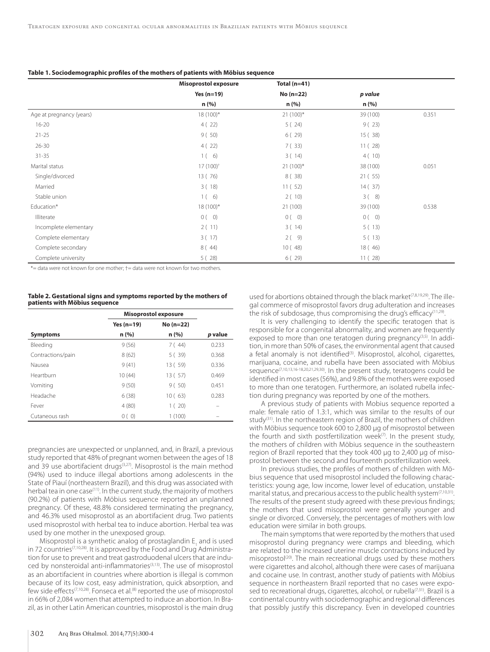|                          | <b>Misoprostol exposure</b> | Total $(n=41)$ |          |       |
|--------------------------|-----------------------------|----------------|----------|-------|
|                          | Yes $(n=19)$                | No (n=22)      | p value  |       |
|                          | n (%)                       | n (%)          | n (%)    |       |
| Age at pregnancy (years) | $18(100)*$                  | $21(100)*$     | 39 (100) | 0.351 |
| $16 - 20$                | 4(22)                       | 5(24)          | 9(23)    |       |
| $21 - 25$                | 9(50)                       | 6(29)          | 15(38)   |       |
| $26 - 30$                | 4(22)                       | 7(33)          | 11(28)   |       |
| $31 - 35$                | $1(-6)$                     | 3(14)          | 4(10)    |       |
| Marital status           | 17 (100) <sup>+</sup>       | $21(100)*$     | 38 (100) | 0.051 |
| Single/divorced          | 13 (76)                     | 8(38)          | 21(.55)  |       |
| Married                  | 3(18)                       | 11(52)         | 14(37)   |       |
| Stable union             | $1(-6)$                     | 2(10)          | 3(8)     |       |
| Education*               | $18(100)^{*}$               | 21(100)        | 39 (100) | 0.538 |
| Illiterate               | 0(0)                        | 0(0)           | 0(0)     |       |
| Incomplete elementary    | 2(11)                       | 3(14)          | 5(13)    |       |
| Complete elementary      | 3(17)                       | $2(-9)$        | 5(13)    |       |
| Complete secondary       | 8(44)                       | 10(48)         | 18(46)   |       |
| Complete university      | 5(28)                       | 6(29)          | 11(28)   |       |

\*= data were not known for one mother; †= data were not known for two mothers.

| Table 2. Gestational signs and symptoms reported by the mothers of |  |
|--------------------------------------------------------------------|--|
| patients with Möbius sequence                                      |  |

|                   | <b>Misoprostol exposure</b> |             |         |
|-------------------|-----------------------------|-------------|---------|
|                   | Yes (n=19)                  | $No (n=22)$ |         |
| <b>Symptoms</b>   | n(%)                        | n(%)        | p value |
| Bleeding          | 9(56)                       | 7(44)       | 0.233   |
| Contractions/pain | 8(62)                       | 5(39)       | 0.368   |
| Nausea            | 9(41)                       | 13 ( 59)    | 0.336   |
| Heartburn         | 10(44)                      | 13 ( 57)    | 0.469   |
| Vomiting          | 9(50)                       | 9(50)       | 0.451   |
| Headache          | 6(38)                       | 10(63)      | 0.283   |
| Fever             | 4(80)                       | 1(20)       |         |
| Cutaneous rash    | 0(0)                        | 1(100)      |         |

pregnancies are unexpected or unplanned, and, in Brazil, a previous study reported that 48% of pregnant women between the ages of 18 and 39 use abortifacient drugs<sup>(3,27)</sup>. Misoprostol is the main method (94%) used to induce illegal abortions among adolescents in the State of Piauí (northeastern Brazil), and this drug was associated with herbal tea in one case<sup>(11)</sup>. In the current study, the majority of mothers (90.2%) of patients with Möbius sequence reported an unplanned pregnancy. Of these, 48.8% considered terminating the pregnancy, and 46.3% used misoprostol as an abortifacient drug. Two patients used misoprostol with herbal tea to induce abortion. Herbal tea was used by one mother in the unexposed group.

Misoprostol is a synthetic analog of prostaglandin  $\mathsf{E}_{_1}$  and is used in 72 countries<sup>(7,10,28)</sup>. It is approved by the Food and Drug Administration for use to prevent and treat gastroduodenal ulcers that are induced by nonsteroidal anti-inflammatories<sup>(3,13)</sup>. The use of misoprostol as an abortifacient in countries where abortion is illegal is common because of its low cost, easy administration, quick absorption, and few side effects<sup>(7,10,28)</sup>. Fonseca et al.<sup>(8)</sup> reported the use of misoprostol in 66% of 2,084 women that attempted to induce an abortion. In Brazil, as in other Latin American countries, misoprostol is the main drug

used for abortions obtained through the black market<sup>(7,8,19,29)</sup>. The illegal commerce of misoprostol favors drug adulteration and increases the risk of subdosage, thus compromising the drug's efficacy<sup>(11,29)</sup>.

It is very challenging to identify the specific teratogen that is responsible for a congenital abnormality, and women are frequently exposed to more than one teratogen during pregnancy<sup>(3,5)</sup>. In addition, in more than 50% of cases, the environmental agent that caused a fetal anomaly is not identified<sup>(3)</sup>. Misoprostol, alcohol, cigarettes, marijuana, cocaine, and rubella have been associated with Möbius sequence<sup>(7,10,13,16-18,20,21,29,30)</sup>. In the present study, teratogens could be identified in most cases (56%), and 9.8% of the mothers were exposed to more than one teratogen. Furthermore, an isolated rubella infection during pregnancy was reported by one of the mothers.

A previous study of patients with Mobius sequence reported a male: female ratio of 1.3:1, which was similar to the results of our study<sup>(31)</sup>. In the northeastern region of Brazil, the mothers of children with Möbius sequence took 600 to 2,800 µg of misoprostol between the fourth and sixth postfertilization week $(7)$ . In the present study, the mothers of children with Möbius sequence in the southeastern region of Brazil reported that they took 400 μg to 2,400 μg of misoprostol between the second and fourteenth postfertilization week.

In previous studies, the profiles of mothers of children with Möbius sequence that used misoprostol included the following characteristics: young age, low income, lower level of education, unstable marital status, and precarious access to the public health system $(7,10,31)$ . The results of the present study agreed with these previous findings; the mothers that used misoprostol were generally younger and single or divorced. Conversely, the percentages of mothers with low education were similar in both groups.

The main symptoms that were reported by the mothers that used misoprostol during pregnancy were cramps and bleeding, which are related to the increased uterine muscle contractions induced by misoprostol<sup>(20)</sup>. The main recreational drugs used by these mothers were cigarettes and alcohol, although there were cases of marijuana and cocaine use. In contrast, another study of patients with Möbius sequence in northeastern Brazil reported that no cases were exposed to recreational drugs, cigarettes, alcohol, or rubella<sup>(7,31)</sup>. Brazil is a continental country with sociodemographic and regional differences that possibly justify this discrepancy. Even in developed countries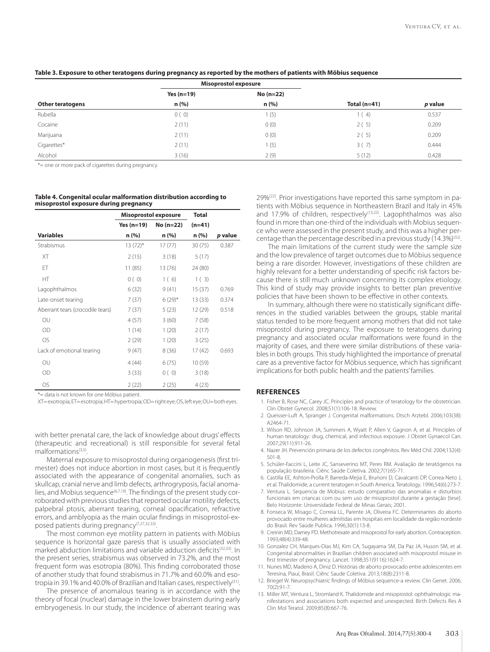|                         |              | <b>Misoprostol exposure</b> |                |         |
|-------------------------|--------------|-----------------------------|----------------|---------|
|                         | Yes $(n=19)$ | $No(n=22)$                  |                |         |
| <b>Other teratogens</b> | n(%)         | n(%)                        | Total $(n=41)$ | p value |
| Rubella                 | 0(0)         | (5)                         | (4)            | 0.537   |
| Cocaine                 | 2(11)        | 0(0)                        | 2(5)           | 0.209   |
| Marijuana               | 2(11)        | 0(0)                        | 2(5)           | 0.209   |
| Cigarettes*             | 2(11)        | (5)                         | 3(7)           | 0.444   |
| Alcohol                 | 3(16)        | 2(9)                        | 5(12)          | 0.428   |

**Table 3. Exposure to other teratogens during pregnancy as reported by the mothers of patients with Möbius sequence**

\*= one or more pack of cigarettes during pregnancy.

#### **Table 4. Congenital ocular malformation distribution according to misoprostol exposure during pregnancy**

|                                  | Misoprostol exposure |             | <b>Total</b> |         |
|----------------------------------|----------------------|-------------|--------------|---------|
|                                  | Yes (n=19)           | $No(n=22)$  | $(n=41)$     |         |
| <b>Variables</b>                 | n (%)                | n(%)        | n (%)        | p value |
| Strabismus                       | $13(72)^{*}$         | 17(77)      | 30(75)       | 0.387   |
| XT                               | 2(15)                | 3(18)       | 5(17)        |         |
| ET                               | 11(85)               | 13 (76)     | 24 (80)      |         |
| HT                               | 0(0)                 | 1(6)        | 1(3)         |         |
| Lagophthalmos                    | 6(32)                | 9(41)       | 15(37)       | 0.769   |
| Late-onset tearing               | 7(37)                | $6(29)^{*}$ | 13(33)       | 0.374   |
| Aberrant tears (crocodile tears) | 7(37)                | 5(23)       | 12(29)       | 0.518   |
| OU                               | 4(57)                | 3(60)       | 7(58)        |         |
| <b>OD</b>                        | 1(14)                | 1(20)       | 2(17)        |         |
| <b>OS</b>                        | 2(29)                | 1(20)       | 3(25)        |         |
| Lack of emotional tearing        | 9(47)                | 8(36)       | 17(42)       | 0.693   |
| OU                               | 4(44)                | 6(75)       | 10(59)       |         |
| <b>OD</b>                        | 3(33)                | 0(0)        | 3(18)        |         |
| <b>OS</b>                        | 2(22)                | 2(25)       | 4(23)        |         |

\*= data is not known for one Möbius patient.

XT= exotropia; ET= esotropia; HT= hypertropia; OD= right eye; OS, left eye; OU= both eyes.

with better prenatal care, the lack of knowledge about drugs' effects (therapeutic and recreational) is still responsible for several fetal malformations(3,5).

Maternal exposure to misoprostol during organogenesis (first trimester) does not induce abortion in most cases, but it is frequently associated with the appearance of congenital anomalies, such as skullcap, cranial nerve and limb defects, arthrogryposis, facial anomalies, and Mobius sequence<sup>(6,7,10)</sup>. The findings of the present study corroborated with previous studies that reported ocular motility defects, palpebral ptosis, aberrant tearing, corneal opacification, refractive errors, and amblyopia as the main ocular findings in misoprostol-exposed patients during pregnancy<sup>(7,27,32,33)</sup>.

The most common eye motility pattern in patients with Möbius sequence is horizontal gaze paresis that is usually associated with marked abduction limitations and variable adduction deficits<sup>(32,33)</sup>. In the present series, strabismus was observed in 73.2%, and the most frequent form was esotropia (80%). This finding corroborated those of another study that found strabismus in 71.7% and 60.0% and esotropia in 39.1% and 40.0% of Brazilian and Italian cases, respectively<sup>(31)</sup>.

The presence of anomalous tearing is in accordance with the theory of focal (nuclear) damage in the lower brainstem during early embryogenesis. In our study, the incidence of aberrant tearing was 29%(22). Prior investigations have reported this same symptom in patients with Möbius sequence in Northeastern Brazil and Italy in 45% and 17.9% of children, respectively<sup>(13,22)</sup>. Lagophthalmos was also found in more than one-third of the individuals with Mobius sequence who were assessed in the present study, and this was a higher percentage than the percentage described in a previous study  $(14.3\%)^{(32)}$ .

The main limitations of the current study were the sample size and the low prevalence of target outcomes due to Möbius sequence being a rare disorder. However, investigations of these children are highly relevant for a better understanding of specific risk factors because there is still much unknown concerning its complex etiology. This kind of study may provide insights to better plan preventive policies that have been shown to be effective in other contexts.

In summary, although there were no statistically significant differences in the studied variables between the groups, stable marital status tended to be more frequent among mothers that did not take misoprostol during pregnancy. The exposure to teratogens during pregnancy and associated ocular malformations were found in the majority of cases, and there were similar distributions of these variables in both groups. This study highlighted the importance of prenatal care as a preventive factor for Möbius sequence, which has significant implications for both public health and the patients' families.

#### **REFERENCES**

- 1. Fisher B, Rose NC, Carey JC. Principles and practice of teratology for the obstetrician. Clin Obstet Gynecol. 2008;51(1):106-18. Review.
- 2. Queisser-Luft A, Spranger J. Congenital malformations. Dtsch Arztebl. 2006;103(38): A2464-71.
- 3. Wilson RD, Johnson JA, Summers A, Wyatt P, Allen V, Gagnon A, et al. Principles of human teratology: drug, chemical, and infectious exposure. J Obstet Gynaecol Can. 2007;29(11):911-26.
- 4. Nazer JH. Prevención primaria de los defectos congênitos. Rev Méd Chil. 2004;132(4): 501-8.
- 5. Schüler-Faccini L, Leite JC, Sanseverino MT, Peres RM. Avaliação de teratógenos na população brasileira. Ciênc Saúde Coletiva. 2002;7(1):65-71.
- 6. Castilla EE, Ashton-Prolla P, Barreda-Mejia E, Brunoni D, Cavalcanti DP, Correa-Neto J, et al. Thalidomide, a current teratogen in South America. Teratology. 1996;54(6):273-7.
- 7. Ventura L. Sequencia de Mobius: estudo comparativo das anomalias e disturbios funcionais em criancas com ou sem uso de misoprostol durante a gestação [tese]. Belo Horizonte: Universidade Federal de Minas Gerais; 2001.
- 8. Fonseca W, Misago C, Correia LL, Parente JA, Oliveira FC. Determinantes do aborto provocado entre mulheres admitidas em hospitais em localidade da região nordeste do Brasil. Rev Saúde Publica. 1996;30(1):13-8.
- 9. Creinin MD, Darney PD. Methotrexate and misoprostol for early abortion. Contraception. 1993;48(4):339-48.
- 10. Gonzalez CH, Marques-Dias MJ, Kim CA, Sugayama SM, Da Paz JA, Huson SM, et al. Congenital abnormalities in Brazilian children associated with misoprostol misuse in first trimester of pregnancy. Lancet. 1998;351(9116):1624-7.
- 11. Nunes MD, Madeiro A, Diniz D. Histórias de aborto provocado entre adolescentes em Teresina, Piauí, Brasil. Ciênc Saude Coletiva. 2013;18(8):2311-8.
- 12. Briegel W. Neuropsychiatric findings of Möbius sequence-a review. Clin Genet. 2006; 70(2):91-7.
- 13. Miller MT, Ventura L, Stromland K. Thalidomide and misoprostol: ophthalmologic manifestations and associations both expected and unexpected. Birth Defects Res A Clin Mol Teratol. 2009;85(8):667-76.